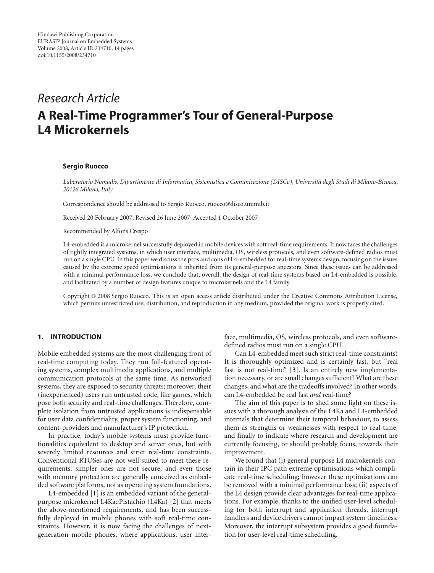# *Research Article* **A Real-Time Programmer's Tour of General-Purpose L4 Microkernels**

## **Sergio Ruocco**

*Laboratorio Nomadis, Dipartimento di Informatica, Sistemistica e Comunicazione (DISCo), Universita degli Studi di Milano-Bicocca, ` 20126 Milano, Italy*

Correspondence should be addressed to Sergio Ruocco, ruocco@disco.unimib.it

Received 20 February 2007; Revised 26 June 2007; Accepted 1 October 2007

Recommended by Alfons Crespo

L4-embedded is a microkernel successfully deployed in mobile devices with soft real-time requirements. It now faces the challenges of tightly integrated systems, in which user interface, multimedia, OS, wireless protocols, and even software-defined radios must run on a single CPU. In this paper we discuss the pros and cons of L4-embedded for real-time systems design, focusing on the issues caused by the extreme speed optimisations it inherited from its general-purpose ancestors. Since these issues can be addressed with a minimal performance loss, we conclude that, overall, the design of real-time systems based on L4-embedded is possible, and facilitated by a number of design features unique to microkernels and the L4 family.

Copyright © 2008 Sergio Ruocco. This is an open access article distributed under the Creative Commons Attribution License, which permits unrestricted use, distribution, and reproduction in any medium, provided the original work is properly cited.

# **1. INTRODUCTION**

Mobile embedded systems are the most challenging front of real-time computing today. They run full-featured operating systems, complex multimedia applications, and multiple communication protocols at the same time. As networked systems, they are exposed to security threats; moreover, their (inexperienced) users run untrusted code, like games, which pose both security and real-time challenges. Therefore, complete isolation from untrusted applications is indispensable for user data confidentiality, proper system functioning, and content-providers and manufacturer's IP protection.

In practice, today's mobile systems must provide functionalities equivalent to desktop and server ones, but with severely limited resources and strict real-time constraints. Conventional RTOSes are not well suited to meet these requirements: simpler ones are not secure, and even those with memory protection are generally conceived as embedded software platforms, not as operating system foundations.

L4-embedded [1] is an embedded variant of the generalpurpose microkernel L4Ka::Pistachio (L4Ka) [2] that meets the above-mentioned requirements, and has been successfully deployed in mobile phones with soft real-time constraints. However, it is now facing the challenges of nextgeneration mobile phones, where applications, user interface, multimedia, OS, wireless protocols, and even softwaredefined radios must run on a single CPU.

Can L4-embedded meet such strict real-time constraints? It is thoroughly optimized and is certainly fast, but "real fast is not real-time" [3]. Is an entirely new implementation necessary, or are small changes sufficient? What are these changes, and what are the tradeoffs involved? In other words, can L4-embedded be real fast *and* real-time?

The aim of this paper is to shed some light on these issues with a thorough analysis of the L4Ka and L4-embedded internals that determine their temporal behaviour, to assess them as strengths or weaknesses with respect to real-time, and finally to indicate where research and development are currently focusing, or should probably focus, towards their improvement.

We found that (i) general-purpose L4 microkernels contain in their IPC path extreme optimisations which complicate real-time scheduling; however these optimisations can be removed with a minimal performance loss; (ii) aspects of the L4 design provide clear advantages for real-time applications. For example, thanks to the unified user-level scheduling for both interrupt and application threads, interrupt handlers and device drivers cannot impact system timeliness. Moreover, the interrupt subsystem provides a good foundation for user-level real-time scheduling.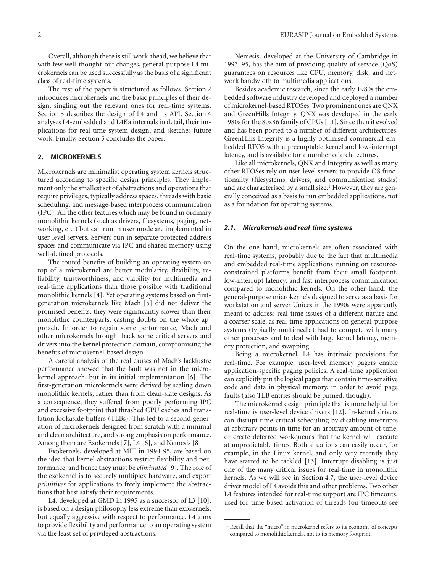Overall, although there is still work ahead, we believe that with few well-thought-out changes, general-purpose L4 microkernels can be used successfully as the basis of a significant class of real-time systems.

The rest of the paper is structured as follows. Section 2 introduces microkernels and the basic principles of their design, singling out the relevant ones for real-time systems. Section 3 describes the design of L4 and its API. Section 4 analyses L4-embedded and L4Ka internals in detail, their implications for real-time system design, and sketches future work. Finally, Section 5 concludes the paper.

# **2. MICROKERNELS**

Microkernels are minimalist operating system kernels structured according to specific design principles. They implement only the smallest set of abstractions and operations that require privileges, typically address spaces, threads with basic scheduling, and message-based interprocess communication (IPC). All the other features which may be found in ordinary monolithic kernels (such as drivers, filesystems, paging, networking, etc.) but can run in user mode are implemented in user-level servers. Servers run in separate protected address spaces and communicate via IPC and shared memory using well-defined protocols.

The touted benefits of building an operating system on top of a microkernel are better modularity, flexibility, reliability, trustworthiness, and viability for multimedia and real-time applications than those possible with traditional monolithic kernels [4]. Yet operating systems based on firstgeneration microkernels like Mach [5] did not deliver the promised benefits: they were significantly slower than their monolithic counterparts, casting doubts on the whole approach. In order to regain some performance, Mach and other microkernels brought back some critical servers and drivers into the kernel protection domain, compromising the benefits of microkernel-based design.

A careful analysis of the real causes of Mach's lacklustre performance showed that the fault was not in the microkernel approach, but in its initial implementation [6]. The first-generation microkernels were derived by scaling down monolithic kernels, rather than from clean-slate designs. As a consequence, they suffered from poorly performing IPC and excessive footprint that thrashed CPU caches and translation lookaside buffers (TLBs). This led to a second generation of microkernels designed from scratch with a minimal and clean architecture, and strong emphasis on performance. Among them are Exokernels [7], L4 [6], and Nemesis [8].

Exokernels, developed at MIT in 1994-95, are based on the idea that kernel abstractions restrict flexibility and performance, and hence they must be *eliminated* [9]. The role of the exokernel is to securely multiplex hardware, and export *primitives* for applications to freely implement the abstractions that best satisfy their requirements.

L4, developed at GMD in 1995 as a successor of L3 [10], is based on a design philosophy less extreme than exokernels, but equally aggressive with respect to performance. L4 aims to provide flexibility and performance to an operating system via the least set of privileged abstractions.

Nemesis, developed at the University of Cambridge in 1993–95, has the aim of providing quality-of-service (QoS) guarantees on resources like CPU, memory, disk, and network bandwidth to multimedia applications.

Besides academic research, since the early 1980s the embedded software industry developed and deployed a number of microkernel-based RTOSes. Two prominent ones are QNX and GreenHills Integrity. QNX was developed in the early 1980s for the 80x86 family of CPUs [11]. Since then it evolved and has been ported to a number of different architectures. GreenHills Integrity is a highly optimised commercial embedded RTOS with a preemptable kernel and low-interrupt latency, and is available for a number of architectures.

Like all microkernels, QNX and Integrity as well as many other RTOSes rely on user-level servers to provide OS functionality (filesystems, drivers, and communication stacks) and are characterised by a small size.<sup>1</sup> However, they are generally conceived as a basis to run embedded applications, not as a foundation for operating systems.

## *2.1. Microkernels and real-time systems*

On the one hand, microkernels are often associated with real-time systems, probably due to the fact that multimedia and embedded real-time applications running on resourceconstrained platforms benefit from their small footprint, low-interrupt latency, and fast interprocess communication compared to monolithic kernels. On the other hand, the general-purpose microkernels designed to serve as a basis for workstation and server Unices in the 1990s were apparently meant to address real-time issues of a different nature and a coarser scale, as real-time applications on general-purpose systems (typically multimedia) had to compete with many other processes and to deal with large kernel latency, memory protection, and swapping.

Being a microkernel, L4 has intrinsic provisions for real-time. For example, user-level memory pagers enable application-specific paging policies. A real-time application can explicitly pin the logical pages that contain time-sensitive code and data in physical memory, in order to avoid page faults (also TLB entries should be pinned, though).

The microkernel design principle that is more helpful for real-time is user-level device drivers [12]. In-kernel drivers can disrupt time-critical scheduling by disabling interrupts at arbitrary points in time for an arbitrary amount of time, or create deferred workqueues that the kernel will execute at unpredictable times. Both situations can easily occur, for example, in the Linux kernel, and only very recently they have started to be tackled [13]. Interrupt disabling is just one of the many critical issues for real-time in monolithic kernels. As we will see in Section 4.7, the user-level device driver model of L4 avoids this and other problems. Two other L4 features intended for real-time support are IPC timeouts, used for time-based activation of threads (on timeouts see

<sup>&</sup>lt;sup>1</sup> Recall that the "micro" in microkernel refers to its economy of concepts compared to monolithic kernels, not to its memory footprint.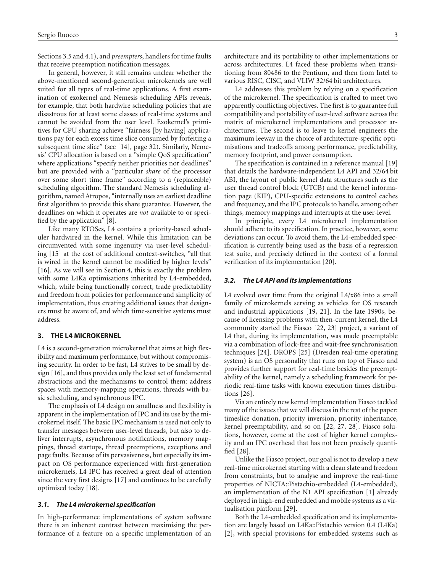Sections 3.5 and 4.1), and *preempters*, handlers for time faults that receive preemption notification messages.

In general, however, it still remains unclear whether the above-mentioned second-generation microkernels are well suited for all types of real-time applications. A first examination of exokernel and Nemesis scheduling APIs reveals, for example, that both hardwire scheduling policies that are disastrous for at least some classes of real-time systems and cannot be avoided from the user level. Exokernel's primitives for CPU sharing achieve "fairness [by having] applications pay for each excess time slice consumed by forfeiting a subsequent time slice" (see [14], page 32). Similarly, Nemesis' CPU allocation is based on a "simple QoS specification" where applications "specify neither priorities nor deadlines" but are provided with a "particular *share* of the processor over some short time frame" according to a (replaceable) scheduling algorithm. The standard Nemesis scheduling algorithm, named Atropos, "internally uses an earliest deadline first algorithm to provide this share guarantee. However, the deadlines on which it operates are *not* available to or specified by the application" [8].

Like many RTOSes, L4 contains a priority-based scheduler hardwired in the kernel. While this limitation can be circumvented with some ingenuity via user-level scheduling [15] at the cost of additional context-switches, "all that is wired in the kernel cannot be modified by higher levels" [16]. As we will see in Section 4, this is exactly the problem with some L4Ka optimisations inherited by L4-embedded, which, while being functionally correct, trade predictability and freedom from policies for performance and simplicity of implementation, thus creating additional issues that designers must be aware of, and which time-sensitive systems must address.

# **3. THE L4 MICROKERNEL**

L4 is a second-generation microkernel that aims at high flexibility and maximum performance, but without compromising security. In order to be fast, L4 strives to be small by design [16], and thus provides only the least set of fundamental abstractions and the mechanisms to control them: address spaces with memory-mapping operations, threads with basic scheduling, and synchronous IPC.

The emphasis of L4 design on smallness and flexibility is apparent in the implementation of IPC and its use by the microkernel itself. The basic IPC mechanism is used not only to transfer messages between user-level threads, but also to deliver interrupts, asynchronous notifications, memory mappings, thread startups, thread preemptions, exceptions and page faults. Because of its pervasiveness, but especially its impact on OS performance experienced with first-generation microkernels, L4 IPC has received a great deal of attention since the very first designs [17] and continues to be carefully optimised today [18].

#### *3.1. The L4 microkernel specification*

In high-performance implementations of system software there is an inherent contrast between maximising the performance of a feature on a specific implementation of an

architecture and its portability to other implementations or across architectures. L4 faced these problems when transitioning from 80486 to the Pentium, and then from Intel to various RISC, CISC, and VLIW 32/64 bit architectures.

L4 addresses this problem by relying on a specification of the microkernel. The specification is crafted to meet two apparently conflicting objectives. The first is to guarantee full compatibility and portability of user-level software across the matrix of microkernel implementations and processor architectures. The second is to leave to kernel engineers the maximum leeway in the choice of architecture-specific optimisations and tradeoffs among performance, predictability, memory footprint, and power consumption.

The specification is contained in a reference manual [19] that details the hardware-independent L4 API and 32/64 bit ABI, the layout of public kernel data structures such as the user thread control block (UTCB) and the kernel information page (KIP), CPU-specific extensions to control caches and frequency, and the IPC protocols to handle, among other things, memory mappings and interrupts at the user-level.

In principle, every L4 microkernel implementation should adhere to its specification. In practice, however, some deviations can occur. To avoid them, the L4-embedded specification is currently being used as the basis of a regression test suite, and precisely defined in the context of a formal verification of its implementation [20].

#### *3.2. The L4 API and its implementations*

L4 evolved over time from the original L4/x86 into a small family of microkernels serving as vehicles for OS research and industrial applications [19, 21]. In the late 1990s, because of licensing problems with then-current kernel, the L4 community started the Fiasco [22, 23] project, a variant of L4 that, during its implementation, was made preemptable via a combination of lock-free and wait-free synchronisation techniques [24]. DROPS [25] (Dresden real-time operating system) is an OS personality that runs on top of Fiasco and provides further support for real-time besides the preemptability of the kernel, namely a scheduling framework for periodic real-time tasks with known execution times distributions [26].

Via an entirely new kernel implementation Fiasco tackled many of the issues that we will discuss in the rest of the paper: timeslice donation, priority inversion, priority inheritance, kernel preemptability, and so on [22, 27, 28]. Fiasco solutions, however, come at the cost of higher kernel complexity and an IPC overhead that has not been precisely quantified [28].

Unlike the Fiasco project, our goal is not to develop a new real-time microkernel starting with a clean slate and freedom from constraints, but to analyse and improve the real-time properties of NICTA::Pistachio-embedded (L4-embedded), an implementation of the N1 API specification [1] already deployed in high-end embedded and mobile systems as a virtualisation platform [29].

Both the L4-embedded specification and its implementation are largely based on L4Ka::Pistachio version 0.4 (L4Ka) [2], with special provisions for embedded systems such as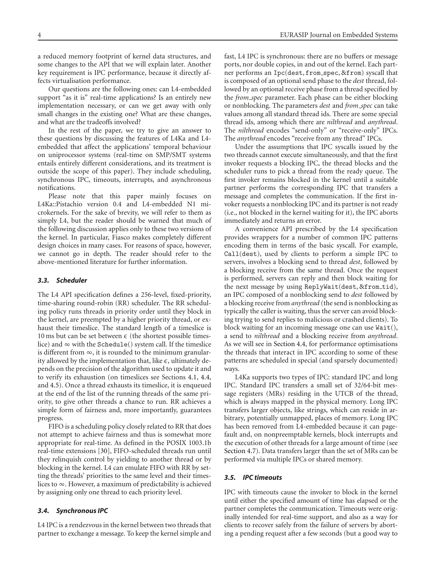a reduced memory footprint of kernel data structures, and some changes to the API that we will explain later. Another key requirement is IPC performance, because it directly affects virtualisation performance.

Our questions are the following ones: can L4-embedded support "as it is" real-time applications? Is an entirely new implementation necessary, or can we get away with only small changes in the existing one? What are these changes, and what are the tradeoffs involved?

In the rest of the paper, we try to give an answer to these questions by discussing the features of L4Ka and L4 embedded that affect the applications' temporal behaviour on uniprocessor systems (real-time on SMP/SMT systems entails entirely different considerations, and its treatment is outside the scope of this paper). They include scheduling, synchronous IPC, timeouts, interrupts, and asynchronous notifications.

Please note that this paper mainly focuses on L4Ka::Pistachio version 0.4 and L4-embedded N1 microkernels. For the sake of brevity, we will refer to them as simply L4, but the reader should be warned that much of the following discussion applies only to these two versions of the kernel. In particular, Fiasco makes completely different design choices in many cases. For reasons of space, however, we cannot go in depth. The reader should refer to the above-mentioned literature for further information.

## *3.3. Scheduler*

The L4 API specification defines a 256-level, fixed-priority, time-sharing round-robin (RR) scheduler. The RR scheduling policy runs threads in priority order until they block in the kernel, are preempted by a higher priority thread, or exhaust their timeslice. The standard length of a timeslice is 10 ms but can be set between  $\epsilon$  (the shortest possible timeslice) and  $\infty$  with the Schedule() system call. If the timeslice is different from  $\infty$ , it is rounded to the minimum granularity allowed by the implementation that, like  $\epsilon$ , ultimately depends on the precision of the algorithm used to update it and to verify its exhaustion (on timeslices see Sections 4.1, 4.4, and 4.5). Once a thread exhausts its timeslice, it is enqueued at the end of the list of the running threads of the same priority, to give other threads a chance to run. RR achieves a simple form of fairness and, more importantly, guarantees progress.

FIFO is a scheduling policy closely related to RR that does not attempt to achieve fairness and thus is somewhat more appropriate for real-time. As defined in the POSIX 1003.1b real-time extensions [30], FIFO-scheduled threads run until they relinquish control by yielding to another thread or by blocking in the kernel. L4 can emulate FIFO with RR by setting the threads' priorities to the same level and their timeslices to ∞. However, a maximum of predictability is achieved by assigning only one thread to each priority level.

# *3.4. Synchronous IPC*

L4 IPC is a rendezvous in the kernel between two threads that partner to exchange a message. To keep the kernel simple and fast, L4 IPC is synchronous: there are no buffers or message ports, nor double copies, in and out of the kernel. Each partner performs an Ipc(dest, from spec, &from) syscall that is composed of an optional send phase to the *dest* thread, followed by an optional receive phase from a thread specified by the *from spec* parameter. Each phase can be either blocking or nonblocking. The parameters *dest* and *from spec* can take values among all standard thread ids. There are some special thread ids, among which there are *nilthread* and *anythread*. The *nilthread* encodes "send-only" or "receive-only" IPCs. The *anythread* encodes "receive from any thread" IPCs.

Under the assumptions that IPC syscalls issued by the two threads cannot execute simultaneously, and that the first invoker requests a blocking IPC, the thread blocks and the scheduler runs to pick a thread from the ready queue. The first invoker remains blocked in the kernel until a suitable partner performs the corresponding IPC that transfers a message and completes the communication. If the first invoker requests a nonblocking IPC and its partner is not ready (i.e., not blocked in the kernel waiting for it), the IPC aborts immediately and returns an error.

A convenience API prescribed by the L4 specification provides wrappers for a number of common IPC patterns encoding them in terms of the basic syscall. For example, Call(dest), used by clients to perform a simple IPC to servers, involves a blocking send to thread *dest*, followed by a blocking receive from the same thread. Once the request is performed, servers can reply and then block waiting for the next message by using ReplyWait(dest, &from\_tid), an IPC composed of a nonblocking send to *dest* followed by a blocking receive from *anythread* (the send is nonblocking as typically the caller is waiting, thus the server can avoid blocking trying to send replies to malicious or crashed clients). To block waiting for an incoming message one can use Wait(), a send to *nilthread* and a blocking receive from *anythread*. As we will see in Section 4.4, for performance optimisations the threads that interact in IPC according to some of these patterns are scheduled in special (and sparsely documented) ways.

L4Ka supports two types of IPC: standard IPC and long IPC. Standard IPC transfers a small set of 32/64-bit message registers (MRs) residing in the UTCB of the thread, which is always mapped in the physical memory. Long IPC transfers larger objects, like strings, which can reside in arbitrary, potentially unmapped, places of memory. Long IPC has been removed from L4-embedded because it can pagefault and, on nonpreemptable kernels, block interrupts and the execution of other threads for a large amount of time (see Section 4.7). Data transfers larger than the set of MRs can be performed via multiple IPCs or shared memory.

## *3.5. IPC timeouts*

IPC with timeouts cause the invoker to block in the kernel until either the specified amount of time has elapsed or the partner completes the communication. Timeouts were originally intended for real-time support, and also as a way for clients to recover safely from the failure of servers by aborting a pending request after a few seconds (but a good way to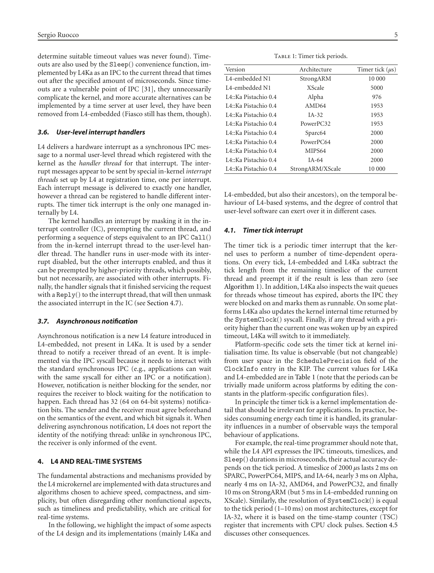determine suitable timeout values was never found). Timeouts are also used by the Sleep() convenience function, implemented by L4Ka as an IPC to the current thread that times out after the specified amount of microseconds. Since timeouts are a vulnerable point of IPC [31], they unnecessarily complicate the kernel, and more accurate alternatives can be implemented by a time server at user level, they have been removed from L4-embedded (Fiasco still has them, though).

## *3.6. User-level interrupt handlers*

L4 delivers a hardware interrupt as a synchronous IPC message to a normal user-level thread which registered with the kernel as the *handler thread* for that interrupt. The interrupt messages appear to be sent by special in-kernel *interrupt threads* set up by L4 at registration time, one per interrupt. Each interrupt message is delivered to exactly one handler, however a thread can be registered to handle different interrupts. The timer tick interrupt is the only one managed internally by L4.

The kernel handles an interrupt by masking it in the interrupt controller (IC), preempting the current thread, and performing a sequence of steps equivalent to an IPC Call() from the in-kernel interrupt thread to the user-level handler thread. The handler runs in user-mode with its interrupt disabled, but the other interrupts enabled, and thus it can be preempted by higher-priority threads, which possibly, but not necessarily, are associated with other interrupts. Finally, the handler signals that it finished servicing the request with a Reply() to the interrupt thread, that will then unmask the associated interrupt in the IC (see Section 4.7).

## *3.7. Asynchronous notification*

Asynchronous notification is a new L4 feature introduced in L4-embedded, not present in L4Ka. It is used by a sender thread to notify a receiver thread of an event. It is implemented via the IPC syscall because it needs to interact with the standard synchronous IPC (e.g., applications can wait with the same syscall for either an IPC or a notification). However, notification is neither blocking for the sender, nor requires the receiver to block waiting for the notification to happen. Each thread has 32 (64 on 64-bit systems) notification bits. The sender and the receiver must agree beforehand on the semantics of the event, and which bit signals it. When delivering asynchronous notification, L4 does not report the identity of the notifying thread: unlike in synchronous IPC, the receiver is only informed of the event.

# **4. L4 AND REAL-TIME SYSTEMS**

The fundamental abstractions and mechanisms provided by the L4 microkernel are implemented with data structures and algorithms chosen to achieve speed, compactness, and simplicity, but often disregarding other nonfunctional aspects, such as timeliness and predictability, which are critical for real-time systems.

In the following, we highlight the impact of some aspects of the L4 design and its implementations (mainly L4Ka and

TABLE 1: Timer tick periods.

| Version              | Architecture        | Timer tick $(\mu s)$ |
|----------------------|---------------------|----------------------|
| L4-embedded N1       | StrongARM           | 10 000               |
| L4-embedded N1       | <b>XScale</b>       | 5000                 |
| L4::Ka Pistachio 0.4 | Alpha               | 976                  |
| L4::Ka Pistachio 0.4 | AMD <sub>64</sub>   | 1953                 |
| L4::Ka Pistachio 0.4 | $IA-32$             | 1953                 |
| L4::Ka Pistachio 0.4 | PowerPC32           | 1953                 |
| L4::Ka Pistachio 0.4 | Sparc <sub>64</sub> | 2000                 |
| L4::Ka Pistachio 0.4 | PowerPC64           | 2000                 |
| L4::Ka Pistachio 0.4 | MIPS64              | 2000                 |
| L4::Ka Pistachio 0.4 | $IA-64$             | 2000                 |
| L4::Ka Pistachio 0.4 | StrongARM/XScale    | 10 000               |

L4-embedded, but also their ancestors), on the temporal behaviour of L4-based systems, and the degree of control that user-level software can exert over it in different cases.

## *4.1. Timer tick interrupt*

The timer tick is a periodic timer interrupt that the kernel uses to perform a number of time-dependent operations. On every tick, L4-embedded and L4Ka subtract the tick length from the remaining timeslice of the current thread and preempt it if the result is less than zero (see Algorithm 1). In addition, L4Ka also inspects the wait queues for threads whose timeout has expired, aborts the IPC they were blocked on and marks them as runnable. On some platforms L4Ka also updates the kernel internal time returned by the SystemClock() syscall. Finally, if any thread with a priority higher than the current one was woken up by an expired timeout, L4Ka will switch to it immediately.

Platform-specific code sets the timer tick at kernel initialisation time. Its value is observable (but not changeable) from user space in the SchedulePrecision field of the ClockInfo entry in the KIP. The current values for L4Ka and L4-embedded are in Table 1 (note that the periods can be trivially made uniform across platforms by editing the constants in the platform-specific configuration files).

In principle the timer tick is a kernel implementation detail that should be irrelevant for applications. In practice, besides consuming energy each time it is handled, its granularity influences in a number of observable ways the temporal behaviour of applications.

For example, the real-time programmer should note that, while the L4 API expresses the IPC timeouts, timeslices, and Sleep() durations in microseconds, their actual accuracy depends on the tick period. A timeslice of 2000 *μ*s lasts 2 ms on SPARC, PowerPC64, MIPS, and IA-64, nearly 3 ms on Alpha, nearly 4 ms on IA-32, AMD64, and PowerPC32, and finally 10 ms on StrongARM (but 5 ms in L4-embedded running on XScale). Similarly, the resolution of SystemClock() is equal to the tick period (1–10 ms) on most architectures, except for IA-32, where it is based on the time-stamp counter (TSC) register that increments with CPU clock pulses. Section 4.5 discusses other consequences.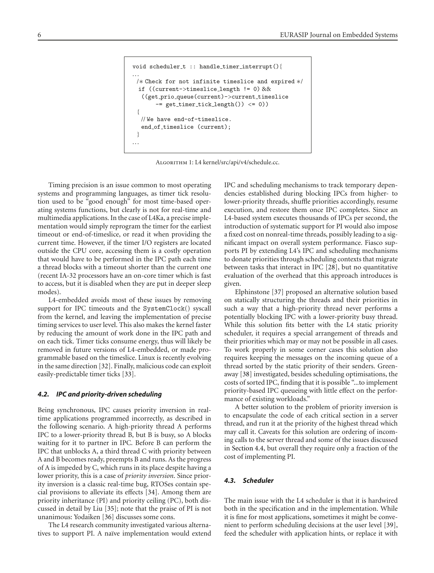```
void scheduler_t :: handle_timer_interrupt(){
...
 /∗ Check for not infinite timeslice and expired ∗/
 if ((current->timeslice length != 0) &&
  ((get prio queue(current)->current timeslice
       -= get timer tick length()) <= 0))
 {
  // We have end-of-timeslice.
  end_of_timeslice (current);
 }
...
```
Algorithm 1: L4 kernel/src/api/v4/schedule.cc.

Timing precision is an issue common to most operating systems and programming languages, as timer tick resolution used to be "good enough" for most time-based operating systems functions, but clearly is not for real-time and multimedia applications. In the case of L4Ka, a precise implementation would simply reprogram the timer for the earliest timeout or end-of-timeslice, or read it when providing the current time. However, if the timer I/O registers are located outside the CPU core, accessing them is a costly operation that would have to be performed in the IPC path each time a thread blocks with a timeout shorter than the current one (recent IA-32 processors have an on-core timer which is fast to access, but it is disabled when they are put in deeper sleep modes).

L4-embedded avoids most of these issues by removing support for IPC timeouts and the SystemClock() syscall from the kernel, and leaving the implementation of precise timing services to user level. This also makes the kernel faster by reducing the amount of work done in the IPC path and on each tick. Timer ticks consume energy, thus will likely be removed in future versions of L4-embedded, or made programmable based on the timeslice. Linux is recently evolving in the same direction [32]. Finally, malicious code can exploit easily-predictable timer ticks [33].

#### *4.2. IPC and priority-driven scheduling*

Being synchronous, IPC causes priority inversion in realtime applications programmed incorrectly, as described in the following scenario. A high-priority thread A performs IPC to a lower-priority thread B, but B is busy, so A blocks waiting for it to partner in IPC. Before B can perform the IPC that unblocks A, a third thread C with priority between A and B becomes ready, preempts B and runs. As the progress of A is impeded by C, which runs in its place despite having a lower priority, this is a case of *priority inversion*. Since priority inversion is a classic real-time bug, RTOSes contain special provisions to alleviate its effects [34]. Among them are priority inheritance (PI) and priority ceiling (PC), both discussed in detail by Liu [35]; note that the praise of PI is not unanimous: Yodaiken [36] discusses some cons.

The L4 research community investigated various alternatives to support PI. A naïve implementation would extend IPC and scheduling mechanisms to track temporary dependencies established during blocking IPCs from higher- to lower-priority threads, shuffle priorities accordingly, resume execution, and restore them once IPC completes. Since an L4-based system executes thousands of IPCs per second, the introduction of systematic support for PI would also impose a fixed cost on nonreal-time threads, possibly leading to a significant impact on overall system performance. Fiasco supports PI by extending L4's IPC and scheduling mechanisms to donate priorities through scheduling contexts that migrate between tasks that interact in IPC [28], but no quantitative evaluation of the overhead that this approach introduces is given.

Elphinstone [37] proposed an alternative solution based on statically structuring the threads and their priorities in such a way that a high-priority thread never performs a potentially blocking IPC with a lower-priority busy thread. While this solution fits better with the L4 static priority scheduler, it requires a special arrangement of threads and their priorities which may or may not be possible in all cases. To work properly in some corner cases this solution also requires keeping the messages on the incoming queue of a thread sorted by the static priority of their senders. Greenaway [38] investigated, besides scheduling optimisations, the costs of sorted IPC, finding that it is possible "...to implement priority-based IPC queueing with little effect on the performance of existing workloads."

A better solution to the problem of priority inversion is to encapsulate the code of each critical section in a server thread, and run it at the priority of the highest thread which may call it. Caveats for this solution are ordering of incoming calls to the server thread and some of the issues discussed in Section 4.4, but overall they require only a fraction of the cost of implementing PI.

# *4.3. Scheduler*

The main issue with the L4 scheduler is that it is hardwired both in the specification and in the implementation. While it is fine for most applications, sometimes it might be convenient to perform scheduling decisions at the user level [39], feed the scheduler with application hints, or replace it with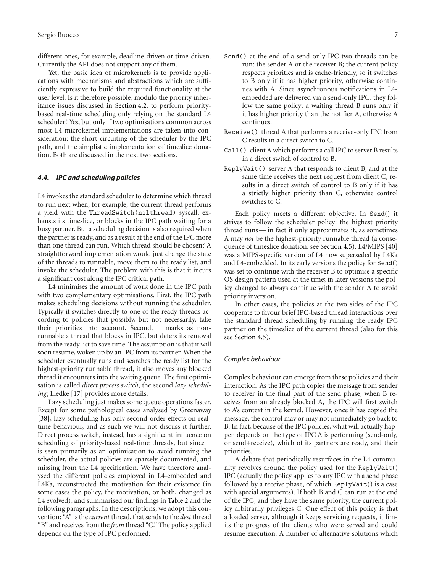different ones, for example, deadline-driven or time-driven. Currently the API does not support any of them.

Yet, the basic idea of microkernels is to provide applications with mechanisms and abstractions which are sufficiently expressive to build the required functionality at the user level. Is it therefore possible, modulo the priority inheritance issues discussed in Section 4.2, to perform prioritybased real-time scheduling only relying on the standard L4 scheduler? Yes, but only if two optimisations common across most L4 microkernel implementations are taken into consideration: the short-circuiting of the scheduler by the IPC path, and the simplistic implementation of timeslice donation. Both are discussed in the next two sections.

## *4.4. IPC and scheduling policies*

L4 invokes the standard scheduler to determine which thread to run next when, for example, the current thread performs a yield with the ThreadSwitch(nilthread) syscall, exhausts its timeslice, or blocks in the IPC path waiting for a busy partner. But a scheduling decision is also required when the partner is ready, and as a result at the end of the IPC more than one thread can run. Which thread should be chosen? A straightforward implementation would just change the state of the threads to runnable, move them to the ready list, and invoke the scheduler. The problem with this is that it incurs a significant cost along the IPC critical path.

L4 minimises the amount of work done in the IPC path with two complementary optimisations. First, the IPC path makes scheduling decisions without running the scheduler. Typically it switches directly to one of the ready threads according to policies that possibly, but not necessarily, take their priorities into account. Second, it marks as nonrunnable a thread that blocks in IPC, but defers its removal from the ready list to save time. The assumption is that it will soon resume, woken up by an IPC from its partner. When the scheduler eventually runs and searches the ready list for the highest-priority runnable thread, it also moves any blocked thread it encounters into the waiting queue. The first optimisation is called *direct process switch*, the second *lazy scheduling*; Liedke [17] provides more details.

Lazy scheduling just makes some queue operations faster. Except for some pathological cases analysed by Greenaway [38], lazy scheduling has only second-order effects on realtime behaviour, and as such we will not discuss it further. Direct process switch, instead, has a significant influence on scheduling of priority-based real-time threads, but since it is seen primarily as an optimisation to avoid running the scheduler, the actual policies are sparsely documented, and missing from the L4 specification. We have therefore analysed the different policies employed in L4-embedded and L4Ka, reconstructed the motivation for their existence (in some cases the policy, the motivation, or both, changed as L4 evolved), and summarised our findings in Table 2 and the following paragraphs. In the descriptions, we adopt this convention: "A" is the *current* thread, that sends to the *dest* thread "B" and receives from the *from* thread "C." The policy applied depends on the type of IPC performed:

- Send() at the end of a send-only IPC two threads can be run: the sender A or the receiver B; the current policy respects priorities and is cache-friendly, so it switches to B only if it has higher priority, otherwise continues with A. Since asynchronous notifications in L4 embedded are delivered via a send-only IPC, they follow the same policy: a waiting thread B runs only if it has higher priority than the notifier A, otherwise A continues.
- Receive() thread A that performs a receive-only IPC from C results in a direct switch to C.
- Call() client A which performs a call IPC to server B results in a direct switch of control to B.
- ReplyWait() server A that responds to client B, and at the same time receives the next request from client C, results in a direct switch of control to B only if it has a strictly higher priority than C, otherwise control switches to C.

Each policy meets a different objective. In Send() it strives to follow the scheduler policy: the highest priority thread runs — in fact it only approximates it, as sometimes A may *not* be the highest-priority runnable thread (a consequence of timeslice donation: see Section 4.5). L4/MIPS [40] was a MIPS-specific version of L4 now superseded by L4Ka and L4-embedded. In its early versions the policy for Send() was set to continue with the receiver B to optimise a specific OS design pattern used at the time; in later versions the policy changed to always continue with the sender A to avoid priority inversion.

In other cases, the policies at the two sides of the IPC cooperate to favour brief IPC-based thread interactions over the standard thread scheduling by running the ready IPC partner on the timeslice of the current thread (also for this see Section 4.5).

#### *Complex behaviour*

Complex behaviour can emerge from these policies and their interaction. As the IPC path copies the message from sender to receiver in the final part of the send phase, when B receives from an already blocked A, the IPC will first switch to A's context in the kernel. However, once it has copied the message, the control may or may not immediately go back to B. In fact, because of the IPC policies, what will actually happen depends on the type of IPC A is performing (send-only, or send+receive), which of its partners are ready, and their priorities.

A debate that periodically resurfaces in the L4 community revolves around the policy used for the ReplyWait() IPC (actually the policy applies to any IPC with a send phase followed by a receive phase, of which ReplyWait() is a case with special arguments). If both B and C can run at the end of the IPC, and they have the same priority, the current policy arbitrarily privileges C. One effect of this policy is that a loaded server, although it keeps servicing requests, it limits the progress of the clients who were served and could resume execution. A number of alternative solutions which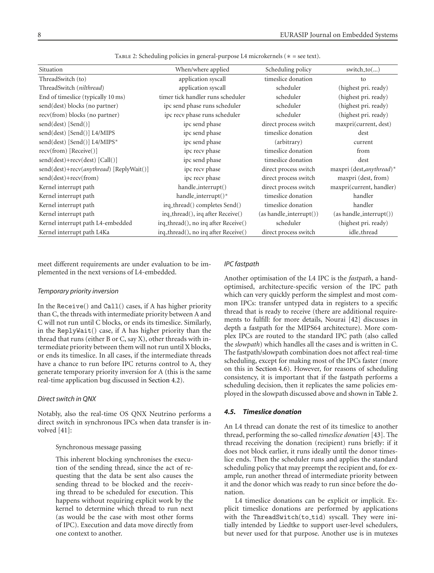| Situation                                | When/where applied                   | Scheduling policy       | $switch_to()$             |
|------------------------------------------|--------------------------------------|-------------------------|---------------------------|
| ThreadSwitch (to)                        | application syscall                  | timeslice donation      | $\mathsf{to}$             |
| ThreadSwitch (nilthread)                 | application syscall                  | scheduler               | (highest pri. ready)      |
| End of timeslice (typically 10 ms)       | timer tick handler runs scheduler    | scheduler               | (highest pri. ready)      |
| send(dest) blocks (no partner)           | ipc send phase runs scheduler        | scheduler               | (highest pri. ready)      |
| recv(from) blocks (no partner)           | ipc recv phase runs scheduler        | scheduler               | (highest pri. ready)      |
| send(dest) [Send()]                      | ipc send phase                       | direct process switch   | maxpri(current, dest)     |
| send(dest) [Send()] L4/MIPS              | ipc send phase                       | timeslice donation      | dest                      |
| send(dest) [Send()] L4/MIPS*             | ipc send phase                       | (arbitrary)             | current                   |
| $recv(from)$ [Receive()]                 | ipc recv phase                       | timeslice donation      | from                      |
| $send(dest) + recv(dest) [Call()]$       | ipc send phase                       | timeslice donation      | dest                      |
| send(dest)+recv(anythread) [ReplyWait()] | ipc recv phase                       | direct process switch   | maxpri (dest, anythread)* |
| send(dest)+recv(from)                    | ipc recv phase                       | direct process switch   | maxpri (dest, from)       |
| Kernel interrupt path                    | handle_interrupt()                   | direct process switch   | maxpri(current, handler)  |
| Kernel interrupt path                    | handle_interrupt $()^*$              | timeslice donation      | handler                   |
| Kernel interrupt path                    | irq_thread() completes Send()        | timeslice donation      | handler                   |
| Kernel interrupt path                    | irq_thread(), irq after Receive()    | (as handle.interrupt()) | (as handle_interrupt())   |
| Kernel interrupt path L4-embedded        | irq_thread(), no irq after Receive() | scheduler               | (highest pri. ready)      |
| Kernel interrupt path L4Ka               | irq_thread(), no irq after Receive() | direct process switch   | idle_thread               |
|                                          |                                      |                         |                           |

Table 2: Scheduling policies in general-purpose L4 microkernels (∗ = see text).

meet different requirements are under evaluation to be implemented in the next versions of L4-embedded.

## *Temporary priority inversion*

In the Receive() and Call() cases, if A has higher priority than C, the threads with intermediate priority between A and C will not run until C blocks, or ends its timeslice. Similarly, in the ReplyWait() case, if A has higher priority than the thread that runs (either B or C, say X), other threads with intermediate priority between them will not run until X blocks, or ends its timeslice. In all cases, if the intermediate threads have a chance to run before IPC returns control to A, they generate temporary priority inversion for A (this is the same real-time application bug discussed in Section 4.2).

# *Direct switch in QNX*

Notably, also the real-time OS QNX Neutrino performs a direct switch in synchronous IPCs when data transfer is involved [41]:

## Synchronous message passing

This inherent blocking synchronises the execution of the sending thread, since the act of requesting that the data be sent also causes the sending thread to be blocked and the receiving thread to be scheduled for execution. This happens without requiring explicit work by the kernel to determine which thread to run next (as would be the case with most other forms of IPC). Execution and data move directly from one context to another.

## *IPC fastpath*

Another optimisation of the L4 IPC is the *fastpath*, a handoptimised, architecture-specific version of the IPC path which can very quickly perform the simplest and most common IPCs: transfer untyped data in registers to a specific thread that is ready to receive (there are additional requirements to fulfill: for more details, Nourai [42] discusses in depth a fastpath for the MIPS64 architecture). More complex IPCs are routed to the standard IPC path (also called the *slowpath*) which handles all the cases and is written in C. The fastpath/slowpath combination does not affect real-time scheduling, except for making most of the IPCs faster (more on this in Section 4.6). However, for reasons of scheduling consistency, it is important that if the fastpath performs a scheduling decision, then it replicates the same policies employed in the slowpath discussed above and shown in Table 2.

## *4.5. Timeslice donation*

An L4 thread can donate the rest of its timeslice to another thread, performing the so-called *timeslice donation* [43]. The thread receiving the donation (recipient) runs briefly: if it does not block earlier, it runs ideally until the donor timeslice ends. Then the scheduler runs and applies the standard scheduling policy that may preempt the recipient and, for example, run another thread of intermediate priority between it and the donor which was ready to run since before the donation.

L4 timeslice donations can be explicit or implicit. Explicit timeslice donations are performed by applications with the ThreadSwitch(to tid) syscall. They were initially intended by Liedtke to support user-level schedulers, but never used for that purpose. Another use is in mutexes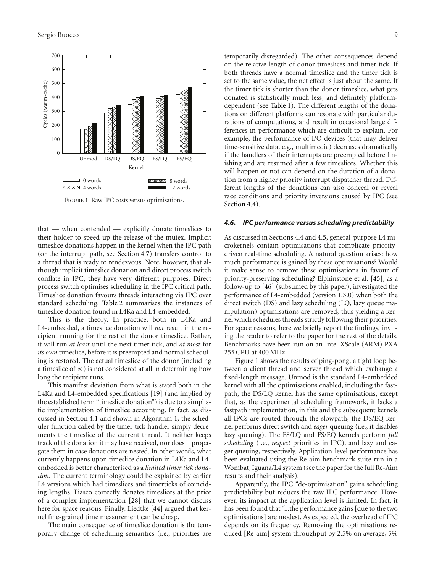

Figure 1: Raw IPC costs versus optimisations.

that — when contended — explicitly donate timeslices to their holder to speed-up the release of the mutex. Implicit timeslice donations happen in the kernel when the IPC path (or the interrupt path, see Section 4.7) transfers control to a thread that is ready to rendezvous. Note, however, that although implicit timeslice donation and direct process switch conflate in IPC, they have very different purposes. Direct process switch optimises scheduling in the IPC critical path. Timeslice donation favours threads interacting via IPC over standard scheduling. Table 2 summarises the instances of timeslice donation found in L4Ka and L4-embedded.

This is the theory. In practice, both in L4Ka and L4-embedded, a timeslice donation will *not* result in the recipient running for the rest of the donor timeslice. Rather, it will run *at least* until the next timer tick, and *at most* for *its own* timeslice, before it is preempted and normal scheduling is restored. The actual timeslice of the donor (including a timeslice of ∞) is not considered at all in determining how long the recipient runs.

This manifest deviation from what is stated both in the L4Ka and L4-embedded specifications [19] (and implied by the established term "timeslice donation") is due to a simplistic implementation of timeslice accounting. In fact, as discussed in Section 4.1 and shown in Algorithm 1, the scheduler function called by the timer tick handler simply decrements the timeslice of the current thread. It neither keeps track of the donation it may have received, nor does it propagate them in case donations are nested. In other words, what currently happens upon timeslice donation in L4Ka and L4 embedded is better characterised as a *limited timer tick donation*. The current terminology could be explained by earlier L4 versions which had timeslices and timerticks of coinciding lengths. Fiasco correctly donates timeslices at the price of a complex implementation [28] that we cannot discuss here for space reasons. Finally, Liedtke [44] argued that kernel fine-grained time measurement can be cheap.

The main consequence of timeslice donation is the temporary change of scheduling semantics (i.e., priorities are temporarily disregarded). The other consequences depend on the relative length of donor timeslices and timer tick. If both threads have a normal timeslice and the timer tick is set to the same value, the net effect is just about the same. If the timer tick is shorter than the donor timeslice, what gets donated is statistically much less, and definitely platformdependent (see Table 1). The different lengths of the donations on different platforms can resonate with particular durations of computations, and result in occasional large differences in performance which are difficult to explain. For example, the performance of I/O devices (that may deliver time-sensitive data, e.g., multimedia) decreases dramatically if the handlers of their interrupts are preempted before finishing and are resumed after a few timeslices. Whether this will happen or not can depend on the duration of a donation from a higher priority interrupt dispatcher thread. Different lengths of the donations can also conceal or reveal race conditions and priority inversions caused by IPC (see Section 4.4).

#### *4.6. IPC performance versus scheduling predictability*

As discussed in Sections 4.4 and 4.5, general-purpose L4 microkernels contain optimisations that complicate prioritydriven real-time scheduling. A natural question arises: how much performance is gained by these optimisations? Would it make sense to remove these optimisations in favour of priority-preserving scheduling? Elphinstone et al. [45], as a follow-up to [46] (subsumed by this paper), investigated the performance of L4-embedded (version 1.3.0) when both the direct switch (DS) and lazy scheduling (LQ, lazy queue manipulation) optimisations are removed, thus yielding a kernel which schedules threads strictly following their priorities. For space reasons, here we briefly report the findings, inviting the reader to refer to the paper for the rest of the details. Benchmarks have been run on an Intel XScale (ARM) PXA 255 CPU at 400 MHz.

Figure 1 shows the results of ping-pong, a tight loop between a client thread and server thread which exchange a fixed-length message. Unmod is the standard L4-embedded kernel with all the optimisations enabled, including the fastpath; the DS/LQ kernel has the same optimisations, except that, as the experimental scheduling framework, it lacks a fastpath implementation, in this and the subsequent kernels all IPCs are routed through the slowpath; the DS/EQ kernel performs direct switch and *eager* queuing (i.e., it disables lazy queuing). The FS/LQ and FS/EQ kernels perform *full scheduling* (i.e., *respect* priorities in IPC), and lazy and eager queuing, respectively. Application-level performance has been evaluated using the Re-aim benchmark suite run in a Wombat, Iguana/L4 system (see the paper for the full Re-Aim results and their analysis).

Apparently, the IPC "de-optimisation" gains scheduling predictability but reduces the raw IPC performance. However, its impact at the application level is limited. In fact, it has been found that "...the performance gains [due to the two optimisations] are modest. As expected, the overhead of IPC depends on its frequency. Removing the optimisations reduced [Re-aim] system throughput by 2.5% on average, 5%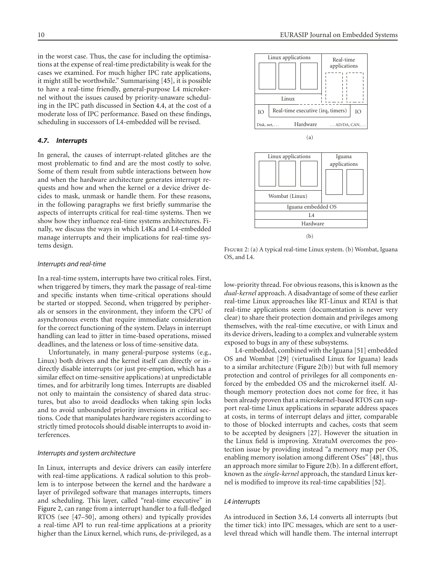in the worst case. Thus, the case for including the optimisations at the expense of real-time predictability is weak for the cases we examined. For much higher IPC rate applications, it might still be worthwhile." Summarising [45], it is possible to have a real-time friendly, general-purpose L4 microkernel without the issues caused by priority-unaware scheduling in the IPC path discussed in Section 4.4, at the cost of a moderate loss of IPC performance. Based on these findings, scheduling in successors of L4-embedded will be revised.

#### *4.7. Interrupts*

In general, the causes of interrupt-related glitches are the most problematic to find and are the most costly to solve. Some of them result from subtle interactions between how and when the hardware architecture generates interrupt requests and how and when the kernel or a device driver decides to mask, unmask or handle them. For these reasons, in the following paragraphs we first briefly summarise the aspects of interrupts critical for real-time systems. Then we show how they influence real-time systems architectures. Finally, we discuss the ways in which L4Ka and L4-embedded manage interrupts and their implications for real-time systems design.

#### *Interrupts and real-time*

In a real-time system, interrupts have two critical roles. First, when triggered by timers, they mark the passage of real-time and specific instants when time-critical operations should be started or stopped. Second, when triggered by peripherals or sensors in the environment, they inform the CPU of asynchronous events that require immediate consideration for the correct functioning of the system. Delays in interrupt handling can lead to jitter in time-based operations, missed deadlines, and the lateness or loss of time-sensitive data.

Unfortunately, in many general-purpose systems (e.g., Linux) both drivers and the kernel itself can directly or indirectly disable interrupts (or just pre-emption, which has a similar effect on time-sensitive applications) at unpredictable times, and for arbitrarily long times. Interrupts are disabled not only to maintain the consistency of shared data structures, but also to avoid deadlocks when taking spin locks and to avoid unbounded priority inversions in critical sections. Code that manipulates hardware registers according to strictly timed protocols should disable interrupts to avoid interferences.

## *Interrupts and system architecture*

In Linux, interrupts and device drivers can easily interfere with real-time applications. A radical solution to this problem is to interpose between the kernel and the hardware a layer of privileged software that manages interrupts, timers and scheduling. This layer, called "real-time executive" in Figure 2, can range from a interrupt handler to a full-fledged RTOS (see [47–50], among others) and typically provides a real-time API to run real-time applications at a priority higher than the Linux kernel, which runs, de-privileged, as a



Figure 2: (a) A typical real-time Linux system. (b) Wombat, Iguana OS, and L4.

low-priority thread. For obvious reasons, this is known as the *dual-kernel* approach. A disadvantage of some of these earlier real-time Linux approaches like RT-Linux and RTAI is that real-time applications seem (documentation is never very clear) to share their protection domain and privileges among themselves, with the real-time executive, or with Linux and its device drivers, leading to a complex and vulnerable system exposed to bugs in any of these subsystems.

L4-embedded, combined with the Iguana [51] embedded OS and Wombat [29] (virtualised Linux for Iguana) leads to a similar architecture (Figure 2(b)) but with full memory protection and control of privileges for all components enforced by the embedded OS and the microkernel itself. Although memory protection does not come for free, it has been already proven that a microkernel-based RTOS can support real-time Linux applications in separate address spaces at costs, in terms of interrupt delays and jitter, comparable to those of blocked interrupts and caches, costs that seem to be accepted by designers [27]. However the situation in the Linux field is improving. XtratuM overcomes the protection issue by providing instead "a memory map per OS, enabling memory isolation among different OSes" [48], thus an approach more similar to Figure 2(b). In a different effort, known as the *single-kernel* approach, the standard Linux kernel is modified to improve its real-time capabilities [52].

#### *L4 interrupts*

As introduced in Section 3.6, L4 converts all interrupts (but the timer tick) into IPC messages, which are sent to a userlevel thread which will handle them. The internal interrupt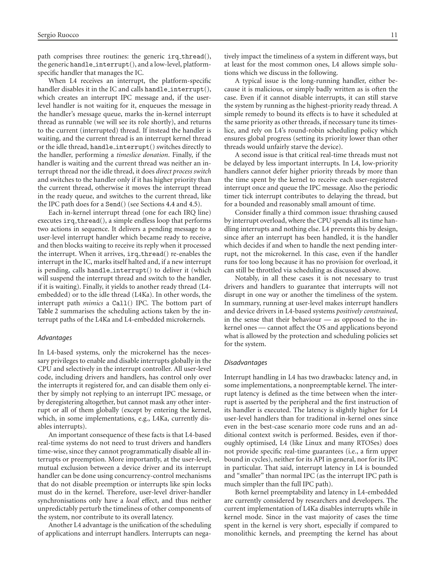path comprises three routines: the generic irq thread(), the generic handle interrupt(), and a low-level, platformspecific handler that manages the IC.

When L4 receives an interrupt, the platform-specific handler disables it in the IC and calls handle\_interrupt(), which creates an interrupt IPC message and, if the userlevel handler is not waiting for it, enqueues the message in the handler's message queue, marks the in-kernel interrupt thread as runnable (we will see its role shortly), and returns to the current (interrupted) thread. If instead the handler is waiting, and the current thread is an interrupt kernel thread or the idle thread, handle interrupt() switches directly to the handler, performing a *timeslice donation*. Finally, if the handler is waiting and the current thread was neither an interrupt thread nor the idle thread, it does *direct process switch* and switches to the handler only if it has higher priority than the current thread, otherwise it moves the interrupt thread in the ready queue, and switches to the current thread, like the IPC path does for a Send() (see Sections 4.4 and 4.5).

Each in-kernel interrupt thread (one for each IRQ line) executes  $irq\_thread()$ , a simple endless loop that performs two actions in sequence. It delivers a pending message to a user-level interrupt handler which became ready to receive, and then blocks waiting to receive its reply when it processed the interrupt. When it arrives, irq\_thread() re-enables the interrupt in the IC, marks itself halted and, if a new interrupt is pending, calls handle interrupt() to deliver it (which will suspend the interrupt thread and switch to the handler, if it is waiting). Finally, it yields to another ready thread (L4 embedded) or to the idle thread (L4Ka). In other words, the interrupt path *mimics* a Call() IPC. The bottom part of Table 2 summarises the scheduling actions taken by the interrupt paths of the L4Ka and L4-embedded microkernels.

#### *Advantages*

In L4-based systems, only the microkernel has the necessary privileges to enable and disable interrupts globally in the CPU and selectively in the interrupt controller. All user-level code, including drivers and handlers, has control only over the interrupts it registered for, and can disable them only either by simply not replying to an interrupt IPC message, or by deregistering altogether, but cannot mask any other interrupt or all of them globally (except by entering the kernel, which, in some implementations, e.g., L4Ka, currently disables interrupts).

An important consequence of these facts is that L4-based real-time systems do not need to trust drivers and handlers time-wise, since they cannot programmatically disable all interrupts or preemption. More importantly, at the user-level, mutual exclusion between a device driver and its interrupt handler can be done using concurrency-control mechanisms that do not disable preemption or interrupts like spin locks must do in the kernel. Therefore, user-level driver-handler synchronisations only have a *local* effect, and thus neither unpredictably perturb the timeliness of other components of the system, nor contribute to its overall latency.

Another L4 advantage is the unification of the scheduling of applications and interrupt handlers. Interrupts can negatively impact the timeliness of a system in different ways, but at least for the most common ones, L4 allows simple solutions which we discuss in the following.

A typical issue is the long-running handler, either because it is malicious, or simply badly written as is often the case. Even if it cannot disable interrupts, it can still starve the system by running as the highest-priority ready thread. A simple remedy to bound its effects is to have it scheduled at the same priority as other threads, if necessary tune its timeslice, and rely on L4's round-robin scheduling policy which ensures global progress (setting its priority lower than other threads would unfairly starve the device).

A second issue is that critical real-time threads must not be delayed by less important interrupts. In L4, low-priority handlers cannot defer higher priority threads by more than the time spent by the kernel to receive each user-registered interrupt once and queue the IPC message. Also the periodic timer tick interrupt contributes to delaying the thread, but for a bounded and reasonably small amount of time.

Consider finally a third common issue: thrashing caused by interrupt overload, where the CPU spends all its time handling interrupts and nothing else. L4 prevents this by design, since after an interrupt has been handled, it is the handler which decides if and when to handle the next pending interrupt, not the microkernel. In this case, even if the handler runs for too long because it has no provision for overload, it can still be throttled via scheduling as discussed above.

Notably, in all these cases it is not necessary to trust drivers and handlers to guarantee that interrupts will not disrupt in one way or another the timeliness of the system. In summary, running at user-level makes interrupt handlers and device drivers in L4-based systems *positively constrained*, in the sense that their behaviour — as opposed to the inkernel ones — cannot affect the OS and applications beyond what is allowed by the protection and scheduling policies set for the system.

#### *Disadvantages*

Interrupt handling in L4 has two drawbacks: latency and, in some implementations, a nonpreemptable kernel. The interrupt latency is defined as the time between when the interrupt is asserted by the peripheral and the first instruction of its handler is executed. The latency is slightly higher for L4 user-level handlers than for traditional in-kernel ones since even in the best-case scenario more code runs and an additional context switch is performed. Besides, even if thoroughly optimised, L4 (like Linux and many RTOSes) does not provide specific real-time guarantees (i.e., a firm upper bound in cycles), neither for its API in general, nor for its IPC in particular. That said, interrupt latency in L4 is bounded and "smaller" than normal IPC (as the interrupt IPC path is much simpler than the full IPC path).

Both kernel preemptability and latency in L4-embedded are currently considered by researchers and developers. The current implementation of L4Ka disables interrupts while in kernel mode. Since in the vast majority of cases the time spent in the kernel is very short, especially if compared to monolithic kernels, and preempting the kernel has about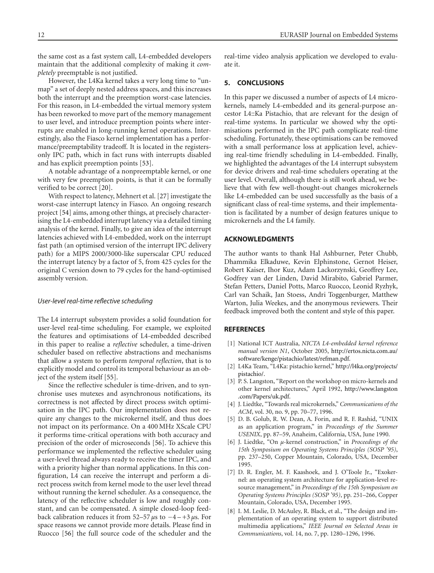the same cost as a fast system call, L4-embedded developers maintain that the additional complexity of making it *completely* preemptable is not justified.

However, the L4Ka kernel takes a very long time to "unmap" a set of deeply nested address spaces, and this increases both the interrupt and the preemption worst-case latencies. For this reason, in L4-embedded the virtual memory system has been reworked to move part of the memory management to user level, and introduce preemption points where interrupts are enabled in long-running kernel operations. Interestingly, also the Fiasco kernel implementation has a performance/preemptability tradeoff. It is located in the registersonly IPC path, which in fact runs with interrupts disabled and has explicit preemption points [53].

A notable advantage of a nonpreemptable kernel, or one with very few preemption points, is that it can be formally verified to be correct [20].

With respect to latency, Mehnert et al. [27] investigate the worst-case interrupt latency in Fiasco. An ongoing research project [54] aims, among other things, at precisely characterising the L4-embedded interrupt latency via a detailed timing analysis of the kernel. Finally, to give an idea of the interrupt latencies achieved with L4-embedded, work on the interrupt fast path (an optimised version of the interrupt IPC delivery path) for a MIPS 2000/3000-like superscalar CPU reduced the interrupt latency by a factor of 5, from 425 cycles for the original C version down to 79 cycles for the hand-optimised assembly version.

## *User-level real-time reflective scheduling*

The L4 interrupt subsystem provides a solid foundation for user-level real-time scheduling. For example, we exploited the features and optimisations of L4-embedded described in this paper to realise a *reflective* scheduler, a time-driven scheduler based on reflective abstractions and mechanisms that allow a system to perform *temporal reflection*, that is to explicitly model and control its temporal behaviour as an object of the system itself [55].

Since the reflective scheduler is time-driven, and to synchronise uses mutexes and asynchronous notifications, its correctness is not affected by direct process switch optimisation in the IPC path. Our implementation does not require any changes to the microkernel itself, and thus does not impact on its performance. On a 400 MHz XScale CPU it performs time-critical operations with both accuracy and precision of the order of microseconds [56]. To achieve this performance we implemented the reflective scheduler using a user-level thread always ready to receive the timer IPC, and with a priority higher than normal applications. In this configuration, L4 can receive the interrupt and perform a direct process switch from kernel mode to the user level thread without running the kernel scheduler. As a consequence, the latency of the reflective scheduler is low and roughly constant, and can be compensated. A simple closed-loop feedback calibration reduces it from 52–57 *μ*s to −4 – +3 *μ*s. For space reasons we cannot provide more details. Please find in Ruocco [56] the full source code of the scheduler and the

real-time video analysis application we developed to evaluate it.

# **5. CONCLUSIONS**

In this paper we discussed a number of aspects of L4 microkernels, namely L4-embedded and its general-purpose ancestor L4::Ka Pistachio, that are relevant for the design of real-time systems. In particular we showed why the optimisations performed in the IPC path complicate real-time scheduling. Fortunately, these optimisations can be removed with a small performance loss at application level, achieving real-time friendly scheduling in L4-embedded. Finally, we highlighted the advantages of the L4 interrupt subsystem for device drivers and real-time schedulers operating at the user level. Overall, although there is still work ahead, we believe that with few well-thought-out changes microkernels like L4-embedded can be used successfully as the basis of a significant class of real-time systems, and their implementation is facilitated by a number of design features unique to microkernels and the L4 family.

# **ACKNOWLEDGMENTS**

The author wants to thank Hal Ashburner, Peter Chubb, Dhammika Elkaduwe, Kevin Elphinstone, Gernot Heiser, Robert Kaiser, Ihor Kuz, Adam Lackorzynski, Geoffrey Lee, Godfrey van der Linden, David Mirabito, Gabriel Parmer, Stefan Petters, Daniel Potts, Marco Ruocco, Leonid Ryzhyk, Carl van Schaik, Jan Stoess, Andri Toggenburger, Matthew Warton, Julia Weekes, and the anonymous reviewers. Their feedback improved both the content and style of this paper.

# **REFERENCES**

- [1] National ICT Australia, *NICTA L4-embedded kernel reference manual version N1*, October 2005, http://ertos.nicta.com.au/ software/kenge/pistachio/latest/refman.pdf.
- [2] L4Ka Team, "L4Ka: pistachio kernel," http://l4ka.org/projects/ pistachio/.
- [3] P. S. Langston, "Report on the workshop on micro-kernels and other kernel architectures," April 1992, http://www.langston .com/Papers/uk.pdf.
- [4] J. Liedtke, "Towards real microkernels," *Communications of the ACM*, vol. 30, no. 9, pp. 70–77, 1996.
- [5] D. B. Golub, R. W. Dean, A. Forin, and R. F. Rashid, "UNIX as an application program," in *Proceedings of the Summer USENIX*, pp. 87–59, Anaheim, California, USA, June 1990.
- [6] J. Liedtke, "On *μ*-kernel construction," in *Proceedings of the 15th Symposium on Operating Systems Principles (SOSP '95)*, pp. 237–250, Copper Mountain, Colorado, USA, December 1995.
- [7] D. R. Engler, M. F. Kaashoek, and J. O'Toole Jr., "Exokernel: an operating system architecture for application-level resource management," in *Proceedings of the 15th Symposium on Operating Systems Principles (SOSP '95)*, pp. 251–266, Copper Mountain, Colorado, USA, December 1995.
- [8] I. M. Leslie, D. McAuley, R. Black, et al., "The design and implementation of an operating system to support distributed multimedia applications," *IEEE Journal on Selected Areas in Communications*, vol. 14, no. 7, pp. 1280–1296, 1996.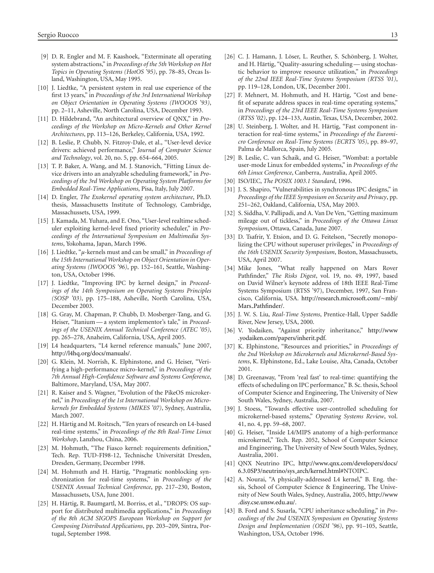- [9] D. R. Engler and M. F. Kaashoek, "Exterminate all operating system abstractions," in *Proceedings of the 5th Workshop on Hot Topics in Operating Systems (HotOS '95)*, pp. 78–85, Orcas Island, Washington, USA, May 1995.
- [10] J. Liedtke, "A persistent system in real use experience of the first 13 years," in *Proceedings of the 3rd International Workshop on Object Orientation in Operating Systems (IWOOOS '93)*, pp. 2–11, Asheville, North Carolina, USA, December 1993.
- [11] D. Hildebrand, "An architectural overview of QNX," in *Proceedings of the Workshop on Micro-Kernels and Other Kernel Architectures*, pp. 113–126, Berkeley, California, USA, 1992.
- [12] B. Leslie, P. Chubb, N. Fitzroy-Dale, et al., "User-level device drivers: achieved performance," *Journal of Computer Science and Technology*, vol. 20, no. 5, pp. 654–664, 2005.
- [13] T. P. Baker, A. Wang, and M. J. Stanovich, "Fitting Linux device drivers into an analyzable scheduling framework," in *Proceedings of the 3rd Workshop on Operating System Platforms for Embedded Real-Time Applications*, Pisa, Italy, July 2007.
- [14] D. Engler, *The Exokernel operating system architecture*, Ph.D. thesis, Massachusetts Institute of Technology, Cambridge, Massachussets, USA, 1999.
- [15] J. Kamada, M. Yuhara, and E. Ono, "User-level realtime scheduler exploiting kernel-level fixed priority scheduler," in *Proceedings of the International Symposium on Multimedia Systems*, Yokohama, Japan, March 1996.
- [16] J. Liedtke, "*μ*-kernels must and can be small," in *Proceedings of the 15th International Workshop on Object Orientation in Operating Systems (IWOOOS '96)*, pp. 152–161, Seattle, Washington, USA, October 1996.
- [17] J. Liedtke, "Improving IPC by kernel design," in *Proceedings of the 14th Symposium on Operating Systems Principles (SOSP '03)*, pp. 175–188, Asheville, North Carolina, USA, December 2003.
- [18] G. Gray, M. Chapman, P. Chubb, D. Mosberger-Tang, and G. Heiser, "Itanium — a system implementor's tale," in *Proceedings of the USENIX Annual Technical Conference (ATEC '05)*, pp. 265–278, Anaheim, California, USA, April 2005.
- [19] L4 headquarters, "L4 kernel reference manuals," June 2007, http://l4hq.org/docs/manuals/.
- [20] G. Klein, M. Norrish, K. Elphinstone, and G. Heiser, "Verifying a high-performance micro-kernel," in *Proceedings of the 7th Annual High-Confidence Software and Systems Conference*, Baltimore, Maryland, USA, May 2007.
- [21] R. Kaiser and S. Wagner, "Evolution of the PikeOS microkernel," in *Proceedings of the 1st International Workshop on Microkernels for Embedded Systems (MIKES '07)*, Sydney, Australia, March 2007.
- [22] H. Härtig and M. Roitzsch, "Ten years of research on L4-based real-time systems," in *Proceedings of the 8th Real-Time Linux Workshop*, Lanzhou, China, 2006.
- [23] M. Hohmuth, "The Fiasco kernel: requirements definition," Tech. Rep. TUD-FI98-12, Technische Universität Dresden, Dresden, Germany, December 1998.
- [24] M. Hohmuth and H. Härtig, "Pragmatic nonblocking synchronization for real-time systems," in *Proceedings of the USENIX Annual Technical Conference*, pp. 217–230, Boston, Massachussets, USA, June 2001.
- [25] H. Härtig, R. Baumgartl, M. Borriss, et al., "DROPS: OS support for distributed multimedia applications," in *Proceedings of the 8th ACM SIGOPS European Workshop on Support for Composing Distributed Applications*, pp. 203–209, Sintra, Portugal, September 1998.
- 
- [26] C. J. Hamann, J. Löser, L. Reuther, S. Schönberg, J. Wolter, and H. Härtig, "Quality-assuring scheduling — using stochastic behavior to improve resource utilization," in *Proceedings of the 22nd IEEE Real-Time Systems Symposium (RTSS '01)*, pp. 119–128, London, UK, December 2001.
- [27] F. Mehnert, M. Hohmuth, and H. Härtig, "Cost and benefit of separate address spaces in real-time operating systems," in *Proceedings of the 23rd IEEE Real-Time Systems Symposium (RTSS '02)*, pp. 124–133, Austin, Texas, USA, December, 2002.
- [28] U. Steinberg, J. Wolter, and H. Härtig, "Fast component interaction for real-time systems," in *Proceedings of the Euromicro Conference on Real-Time Systems (ECRTS '05)*, pp. 89–97, Palma de Mallorca, Spain, July 2005.
- [29] B. Leslie, C. van Schaik, and G. Heiser, "Wombat: a portable user-mode Linux for embedded systems," in *Proceedings of the 6th Linux Conference*, Canberra, Australia, April 2005.
- [30] ISO/IEC, *The POSIX 1003.1 Standard*, 1996.
- [31] J. S. Shapiro, "Vulnerabilities in synchronous IPC designs," in *Proceedings of the IEEE Symposium on Security and Privacy*, pp. 251–262, Oakland, California, USA, May 2003.
- [32] S. Siddha, V. Pallipadi, and A. Van De Ven, "Getting maximum mileage out of tickless," in *Proceedings of the Ottawa Linux Symposium*, Ottawa, Canada, June 2007.
- [33] D. Tsafrir, Y. Etsion, and D. G. Feitelson, "Secretly monopolizing the CPU without superuser privileges," in *Proceedings of the 16th USENIX Security Symposium*, Boston, Massachussets, USA, April 2007.
- [34] Mike Jones, "What really happened on Mars Rover Pathfinder," *The Risks Digest*, vol. 19, no. 49, 1997, based on David Wilner's keynote address of 18th IEEE Real-Time Systems Symposium (RTSS '97), December, 1997, San Francisco, California, USA. http://research.microsoft.com/∼mbj/ Mars\_Pathfinder/.
- [35] J. W. S. Liu, *Real-Time Systems*, Prentice-Hall, Upper Saddle River, New Jersey, USA, 2000.
- [36] V. Yodaiken, "Against priority inheritance," http://www .yodaiken.com/papers/inherit.pdf.
- [37] K. Elphinstone, "Resources and priorities," in *Proceedings of the 2nd Workshop on Microkernels and Microkernel-Based Systems*, K. Elphinstone, Ed., Lake Louise, Alta, Canada, October 2001.
- [38] D. Greenaway, "From 'real fast' to real-time: quantifying the effects of scheduling on IPC performance," B. Sc. thesis, School of Computer Science and Engineering, The University of New South Wales, Sydney, Australia, 2007.
- [39] J. Stoess, "Towards effective user-controlled scheduling for microkernel-based systems," *Operating Systems Review*, vol. 41, no. 4, pp. 59–68, 2007.
- [40] G. Heiser, "Inside L4/MIPS anatomy of a high-performance microkernel," Tech. Rep. 2052, School of Computer Science and Engineering, The University of New South Wales, Sydney, Australia, 2001.
- [41] QNX Neutrino IPC, http://www.qnx.com/developers/docs/ 6.3.0SP3/neutrino/sys arch/kernel.html#NTOIPC.
- [42] A. Nourai, "A physically-addressed L4 kernel," B. Eng. thesis, School of Computer Science & Engineering, The University of New South Wales, Sydney, Australia, 2005, http://www .disy.cse.unsw.edu.au/.
- [43] B. Ford and S. Susarla, "CPU inheritance scheduling," in *Proceedings of the 2nd USENIX Symposium on Operating Systems Design and Implementation (OSDI '96)*, pp. 91–105, Seattle, Washington, USA, October 1996.